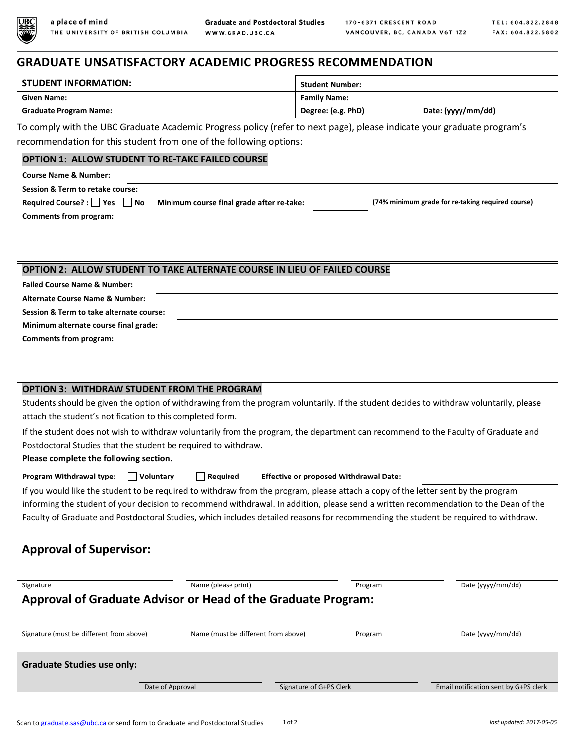

## **GRADUATE UNSATISFACTORY ACADEMIC PROGRESS RECOMMENDATION**

| <b>STUDENT INFORMATION:</b>   | <b>Student Number:</b> |                    |  |
|-------------------------------|------------------------|--------------------|--|
| <b>Given Name:</b>            | <b>Family Name:</b>    |                    |  |
| <b>Graduate Program Name:</b> | Degree: (e.g. PhD)     | Date: (yyyy/mm/dd) |  |

To comply with the UBC Graduate Academic Progress policy (refer to next page), please indicate your graduate program's recommendation for this student from one of the following options:

| <b>OPTION 1: ALLOW STUDENT TO RE-TAKE FAILED COURSE</b>                                                                                 |                                           |         |                                                   |  |
|-----------------------------------------------------------------------------------------------------------------------------------------|-------------------------------------------|---------|---------------------------------------------------|--|
| <b>Course Name &amp; Number:</b>                                                                                                        |                                           |         |                                                   |  |
| Session & Term to retake course:                                                                                                        |                                           |         |                                                   |  |
| Required Course? : Yes No                                                                                                               | Minimum course final grade after re-take: |         | (74% minimum grade for re-taking required course) |  |
| <b>Comments from program:</b>                                                                                                           |                                           |         |                                                   |  |
|                                                                                                                                         |                                           |         |                                                   |  |
|                                                                                                                                         |                                           |         |                                                   |  |
| OPTION 2: ALLOW STUDENT TO TAKE ALTERNATE COURSE IN LIEU OF FAILED COURSE                                                               |                                           |         |                                                   |  |
| <b>Failed Course Name &amp; Number:</b>                                                                                                 |                                           |         |                                                   |  |
| <b>Alternate Course Name &amp; Number:</b>                                                                                              |                                           |         |                                                   |  |
| Session & Term to take alternate course:                                                                                                |                                           |         |                                                   |  |
| Minimum alternate course final grade:                                                                                                   |                                           |         |                                                   |  |
| <b>Comments from program:</b>                                                                                                           |                                           |         |                                                   |  |
|                                                                                                                                         |                                           |         |                                                   |  |
|                                                                                                                                         |                                           |         |                                                   |  |
| <b>OPTION 3: WITHDRAW STUDENT FROM THE PROGRAM</b>                                                                                      |                                           |         |                                                   |  |
| Students should be given the option of withdrawing from the program voluntarily. If the student decides to withdraw voluntarily, please |                                           |         |                                                   |  |
| attach the student's notification to this completed form.                                                                               |                                           |         |                                                   |  |
| If the student does not wish to withdraw voluntarily from the program, the department can recommend to the Faculty of Graduate and      |                                           |         |                                                   |  |
| Postdoctoral Studies that the student be required to withdraw.                                                                          |                                           |         |                                                   |  |
| Please complete the following section.                                                                                                  |                                           |         |                                                   |  |
| $\Box$ Required<br>Program Withdrawal type:<br><b>Effective or proposed Withdrawal Date:</b><br>  Voluntary                             |                                           |         |                                                   |  |
| If you would like the student to be required to withdraw from the program, please attach a copy of the letter sent by the program       |                                           |         |                                                   |  |
| informing the student of your decision to recommend withdrawal. In addition, please send a written recommendation to the Dean of the    |                                           |         |                                                   |  |
| Faculty of Graduate and Postdoctoral Studies, which includes detailed reasons for recommending the student be required to withdraw.     |                                           |         |                                                   |  |
|                                                                                                                                         |                                           |         |                                                   |  |
| <b>Approval of Supervisor:</b>                                                                                                          |                                           |         |                                                   |  |
|                                                                                                                                         |                                           |         |                                                   |  |
| Signature                                                                                                                               | Name (please print)                       | Program | Date (yyyy/mm/dd)                                 |  |
| <b>Approval of Graduate Advisor or Head of the Graduate Program:</b>                                                                    |                                           |         |                                                   |  |
|                                                                                                                                         |                                           |         |                                                   |  |
| Signature (must be different from above)                                                                                                | Name (must be different from above)       | Program | Date (yyyy/mm/dd)                                 |  |
|                                                                                                                                         |                                           |         |                                                   |  |
| <b>Graduate Studies use only:</b>                                                                                                       |                                           |         |                                                   |  |